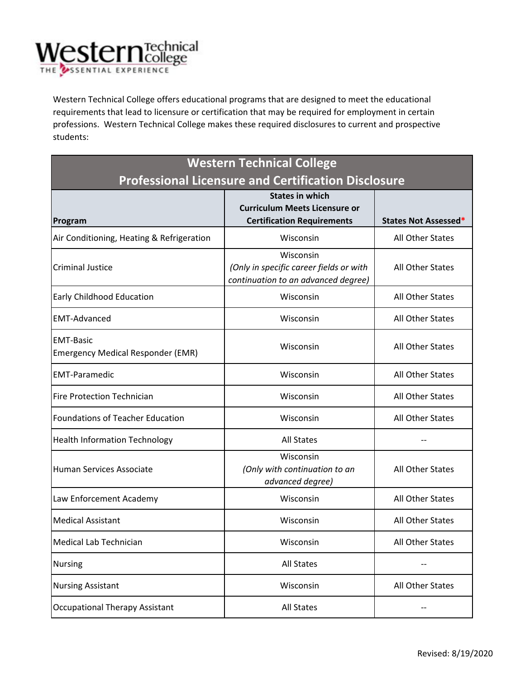

 professions. Western Technical College makes these required disclosures to current and prospective Western Technical College offers educational programs that are designed to meet the educational requirements that lead to licensure or certification that may be required for employment in certain students:

| <b>Western Technical College</b>                           |                                                                                |                             |  |
|------------------------------------------------------------|--------------------------------------------------------------------------------|-----------------------------|--|
| <b>Professional Licensure and Certification Disclosure</b> |                                                                                |                             |  |
|                                                            | <b>States in which</b>                                                         |                             |  |
|                                                            | <b>Curriculum Meets Licensure or</b>                                           |                             |  |
| Program                                                    | <b>Certification Requirements</b>                                              | <b>States Not Assessed*</b> |  |
| Air Conditioning, Heating & Refrigeration                  | Wisconsin                                                                      | All Other States            |  |
| <b>Criminal Justice</b>                                    | Wisconsin                                                                      |                             |  |
|                                                            | (Only in specific career fields or with<br>continuation to an advanced degree) | All Other States            |  |
|                                                            |                                                                                |                             |  |
| Early Childhood Education                                  | Wisconsin                                                                      | All Other States            |  |
| <b>EMT-Advanced</b>                                        | Wisconsin                                                                      | All Other States            |  |
| <b>EMT-Basic</b>                                           | Wisconsin                                                                      | All Other States            |  |
| <b>Emergency Medical Responder (EMR)</b>                   |                                                                                |                             |  |
| <b>EMT-Paramedic</b>                                       | Wisconsin                                                                      | All Other States            |  |
| <b>Fire Protection Technician</b>                          | Wisconsin                                                                      | All Other States            |  |
| <b>Foundations of Teacher Education</b>                    | Wisconsin                                                                      | All Other States            |  |
| <b>Health Information Technology</b>                       | <b>All States</b>                                                              |                             |  |
| <b>Human Services Associate</b>                            | Wisconsin<br>(Only with continuation to an                                     | All Other States            |  |
|                                                            | advanced degree)                                                               |                             |  |
| Law Enforcement Academy                                    | Wisconsin                                                                      | All Other States            |  |
| <b>Medical Assistant</b>                                   | Wisconsin                                                                      | All Other States            |  |
| Medical Lab Technician                                     | Wisconsin                                                                      | All Other States            |  |
| <b>Nursing</b>                                             | <b>All States</b>                                                              |                             |  |
| <b>Nursing Assistant</b>                                   | Wisconsin                                                                      | All Other States            |  |
| <b>Occupational Therapy Assistant</b>                      | <b>All States</b>                                                              |                             |  |